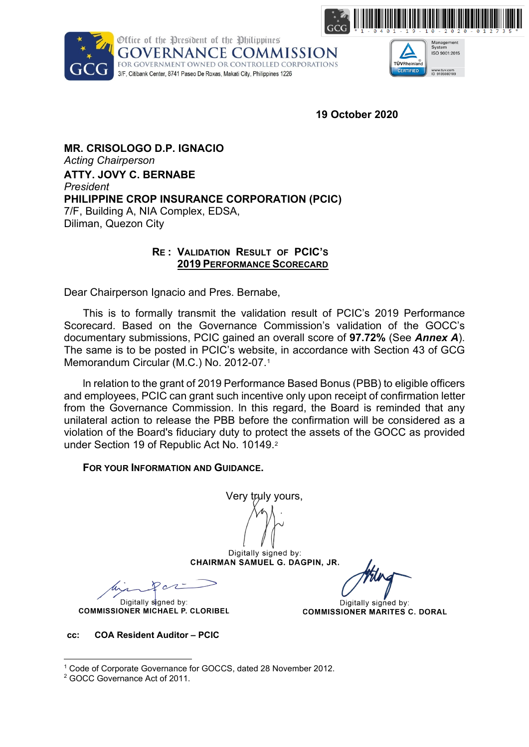



Management<br>System<br>ISO 9001:2015 TÜVRheinland CERTIFIED www.tuv.com<br>ID 9105080109

**19 October 2020**

**MR. CRISOLOGO D.P. IGNACIO** *Acting Chairperson* **ATTY. JOVY C. BERNABE**  *President* **PHILIPPINE CROP INSURANCE CORPORATION (PCIC)** 7/F, Building A, NIA Complex, EDSA, Diliman, Quezon City

#### **RE : VALIDATION RESULT OF PCIC'S 2019 PERFORMANCE SCORECARD**

Dear Chairperson Ignacio and Pres. Bernabe,

This is to formally transmit the validation result of PCIC's 2019 Performance Scorecard. Based on the Governance Commission's validation of the GOCC's documentary submissions, PCIC gained an overall score of **97.72%** (See *Annex A*). The same is to be posted in PCIC's website, in accordance with Section 43 of GCG Memorandum Circular (M.C.) No. 2012-07.[1](#page-0-0)

ln relation to the grant of 2019 Performance Based Bonus (PBB) to eligible officers and employees, PCIC can grant such incentive only upon receipt of confirmation letter from the Governance Commission. ln this regard, the Board is reminded that any unilateral action to release the PBB before the confirmation will be considered as a violation of the Board's fiduciary duty to protect the assets of the GOCC as provided under Section 19 of Republic Act No. 10149.<sup>[2](#page-0-1)</sup>

**FOR YOUR INFORMATION AND GUIDANCE.** 

Very truly yours,

Digitally signed by: CHAIRMAN SAMUEL G. DAGPIN, JR.

Digitally signed by: **COMMISSIONER MICHAEL P. CLORIBEL** 

Digitally signed by: **COMMISSIONER MARITES C. DORAL** 

**cc: COA Resident Auditor – PCIC**

<sup>1</sup> Code of Corporate Governance for GOCCS, dated 28 November 2012.

<span id="page-0-1"></span><span id="page-0-0"></span><sup>2</sup> GOCC Governance Act of 2011.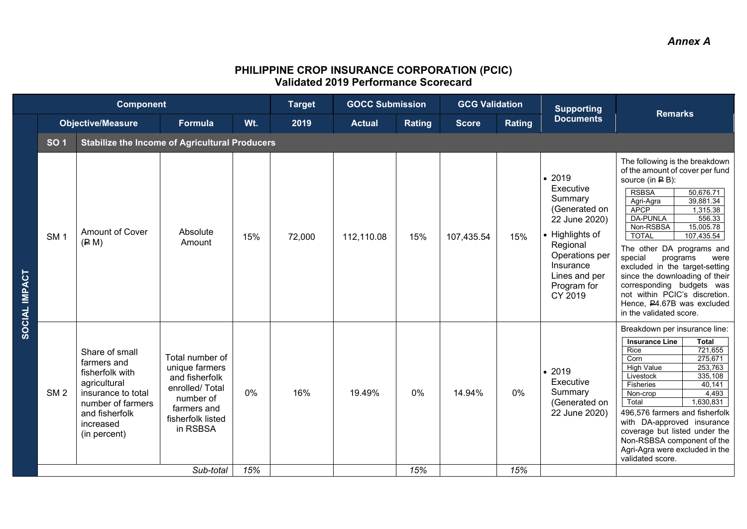#### **PHILIPPINE CROP INSURANCE CORPORATION (PCIC) Validated 2019 Performance Scorecard**

|               |                 | <b>Component</b>                                                                                                                                           |                                                                                                                                    |     | <b>Target</b> | <b>GOCC Submission</b> |        | <b>GCG Validation</b> | <b>Supporting</b> |                                                                                                                                                                           | <b>Remarks</b>                                                                                                                                                                                                                                                                                                                                                                                                                                                                                                                 |  |
|---------------|-----------------|------------------------------------------------------------------------------------------------------------------------------------------------------------|------------------------------------------------------------------------------------------------------------------------------------|-----|---------------|------------------------|--------|-----------------------|-------------------|---------------------------------------------------------------------------------------------------------------------------------------------------------------------------|--------------------------------------------------------------------------------------------------------------------------------------------------------------------------------------------------------------------------------------------------------------------------------------------------------------------------------------------------------------------------------------------------------------------------------------------------------------------------------------------------------------------------------|--|
|               |                 | <b>Objective/Measure</b>                                                                                                                                   | Formula                                                                                                                            | Wt. | 2019          | <b>Actual</b>          | Rating | <b>Score</b>          | Rating            | <b>Documents</b>                                                                                                                                                          |                                                                                                                                                                                                                                                                                                                                                                                                                                                                                                                                |  |
|               | <b>SO1</b>      | <b>Stabilize the Income of Agricultural Producers</b>                                                                                                      |                                                                                                                                    |     |               |                        |        |                       |                   |                                                                                                                                                                           |                                                                                                                                                                                                                                                                                                                                                                                                                                                                                                                                |  |
| SOCIAL IMPACT | SM <sub>1</sub> | <b>Amount of Cover</b><br>(P M)                                                                                                                            | Absolute<br>Amount                                                                                                                 | 15% | 72,000        | 112,110.08             | 15%    | 107,435.54            | 15%               | • 2019<br>Executive<br>Summary<br>(Generated on<br>22 June 2020)<br>• Highlights of<br>Regional<br>Operations per<br>Insurance<br>Lines and per<br>Program for<br>CY 2019 | The following is the breakdown<br>of the amount of cover per fund<br>source (in $\mathsf{P}$ B):<br><b>RSBSA</b><br>50,676.71<br>39,881.34<br>Agri-Agra<br><b>APCP</b><br>1,315.38<br><b>DA-PUNLA</b><br>556.33<br>Non-RSBSA<br>15,005.78<br>107,435.54<br><b>TOTAL</b><br>The other DA programs and<br>special<br>programs<br>were<br>excluded in the target-setting<br>since the downloading of their<br>corresponding budgets was<br>not within PCIC's discretion.<br>Hence, P4.67B was excluded<br>in the validated score. |  |
|               | SM <sub>2</sub> | Share of small<br>farmers and<br>fisherfolk with<br>agricultural<br>insurance to total<br>number of farmers<br>and fisherfolk<br>increased<br>(in percent) | Total number of<br>unique farmers<br>and fisherfolk<br>enrolled/Total<br>number of<br>farmers and<br>fisherfolk listed<br>in RSBSA | 0%  | 16%           | 19.49%                 | 0%     | 14.94%                | 0%                | • 2019<br>Executive<br>Summary<br>(Generated on<br>22 June 2020)                                                                                                          | Breakdown per insurance line:<br><b>Insurance Line</b><br><b>Total</b><br>721,655<br>Rice<br>275,671<br>Corn<br>253,763<br><b>High Value</b><br>Livestock<br>335,108<br>Fisheries<br>40,141<br>4,493<br>Non-crop<br>Total<br>1,630,831<br>496,576 farmers and fisherfolk<br>with DA-approved insurance<br>coverage but listed under the<br>Non-RSBSA component of the<br>Agri-Agra were excluded in the<br>validated score.                                                                                                    |  |
|               |                 |                                                                                                                                                            | Sub-total                                                                                                                          | 15% |               |                        | 15%    |                       | 15%               |                                                                                                                                                                           |                                                                                                                                                                                                                                                                                                                                                                                                                                                                                                                                |  |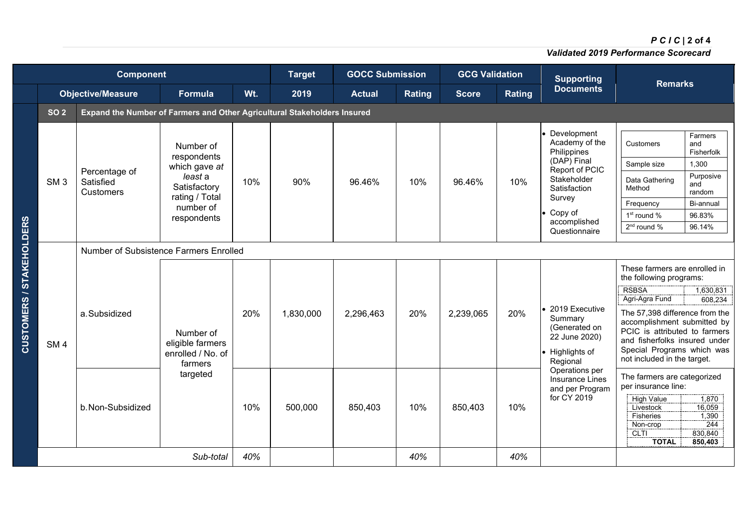# *PCIC* **| 2 of 4**

*Validated 2019 Performance Scorecard*

|                                 | <b>Component</b> |                                                                          |                                                                                                                    |            | <b>Target</b>        | <b>GOCC Submission</b> |               | <b>GCG Validation</b> |               | <b>Supporting</b>                                                                                                                                                  | <b>Remarks</b>                                                                                                                                                                                                                                                                                                                                                                                                             |                                                                                                      |  |  |  |  |  |  |
|---------------------------------|------------------|--------------------------------------------------------------------------|--------------------------------------------------------------------------------------------------------------------|------------|----------------------|------------------------|---------------|-----------------------|---------------|--------------------------------------------------------------------------------------------------------------------------------------------------------------------|----------------------------------------------------------------------------------------------------------------------------------------------------------------------------------------------------------------------------------------------------------------------------------------------------------------------------------------------------------------------------------------------------------------------------|------------------------------------------------------------------------------------------------------|--|--|--|--|--|--|
|                                 |                  | <b>Objective/Measure</b>                                                 | <b>Formula</b>                                                                                                     | Wt.        | 2019                 | <b>Actual</b>          | <b>Rating</b> | <b>Score</b>          | <b>Rating</b> | <b>Documents</b>                                                                                                                                                   |                                                                                                                                                                                                                                                                                                                                                                                                                            |                                                                                                      |  |  |  |  |  |  |
|                                 | <b>SO 2</b>      | Expand the Number of Farmers and Other Agricultural Stakeholders Insured |                                                                                                                    |            |                      |                        |               |                       |               |                                                                                                                                                                    |                                                                                                                                                                                                                                                                                                                                                                                                                            |                                                                                                      |  |  |  |  |  |  |
|                                 | SM <sub>3</sub>  | Percentage of<br>Satisfied<br><b>Customers</b>                           | Number of<br>respondents<br>which gave at<br>least a<br>Satisfactory<br>rating / Total<br>number of<br>respondents | 10%        | 90%                  | 96.46%                 | 10%           | 96.46%                | 10%           | Development<br>Academy of the<br>Philippines<br>(DAP) Final<br>Report of PCIC<br>Stakeholder<br>Satisfaction<br>Survey<br>Copy of<br>accomplished<br>Questionnaire | <b>Customers</b><br>Sample size<br>Data Gathering<br>Method<br>Frequency<br>1 <sup>st</sup> round %<br>2 <sup>nd</sup> round %                                                                                                                                                                                                                                                                                             | Farmers<br>and<br>Fisherfolk<br>1,300<br>Purposive<br>and<br>random<br>Bi-annual<br>96.83%<br>96.14% |  |  |  |  |  |  |
|                                 |                  | Number of Subsistence Farmers Enrolled                                   |                                                                                                                    |            |                      |                        |               |                       |               |                                                                                                                                                                    |                                                                                                                                                                                                                                                                                                                                                                                                                            |                                                                                                      |  |  |  |  |  |  |
| <b>CUSTOMERS / STAKEHOLDERS</b> | SM <sub>4</sub>  | a.Subsidized<br>b. Non-Subsidized                                        | Number of<br>eligible farmers<br>enrolled / No. of<br>farmers<br>targeted                                          | 20%<br>10% | 1,830,000<br>500,000 | 2,296,463<br>850,403   | 20%<br>10%    | 2,239,065<br>850,403  | 20%<br>10%    | 2019 Executive<br>Summary<br>(Generated on<br>22 June 2020)<br>• Highlights of<br>Regional<br>Operations per<br>Insurance Lines<br>and per Program<br>for CY 2019  | These farmers are enrolled in<br>the following programs:<br><b>RSBSA</b><br>Agri-Agra Fund<br>The 57,398 difference from the<br>accomplishment submitted by<br>PCIC is attributed to farmers<br>and fisherfolks insured under<br>Special Programs which was<br>not included in the target.<br>The farmers are categorized<br>per insurance line:<br><b>High Value</b><br>Livestock<br>Fisheries<br>Non-crop<br><b>CLTI</b> | 1,630,831<br>608,234<br>1.870<br>16,059<br>1,390<br>244<br>830,840                                   |  |  |  |  |  |  |
|                                 |                  |                                                                          | Sub-total                                                                                                          | 40%        |                      |                        | 40%           |                       | 40%           |                                                                                                                                                                    | <b>TOTAL</b>                                                                                                                                                                                                                                                                                                                                                                                                               | 850.403                                                                                              |  |  |  |  |  |  |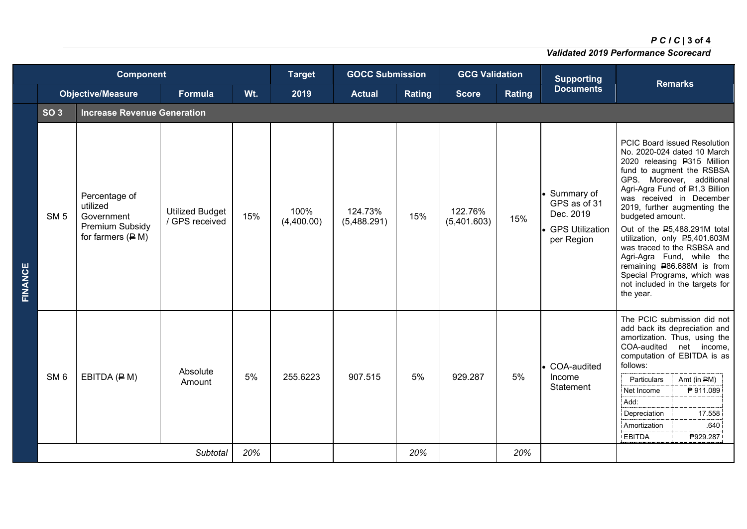# *PCIC* **| 3 of 4**

*Validated 2019 Performance Scorecard*

|         |                 | <b>Component</b>                                                                  | <b>Target</b>                            | <b>GOCC Submission</b> |                    | <b>GCG Validation</b>  |        | <b>Supporting</b>      |        |                                                                                   |                                                                                                                                                                                                                                                                                                                                                                                                                                                                                                                         |
|---------|-----------------|-----------------------------------------------------------------------------------|------------------------------------------|------------------------|--------------------|------------------------|--------|------------------------|--------|-----------------------------------------------------------------------------------|-------------------------------------------------------------------------------------------------------------------------------------------------------------------------------------------------------------------------------------------------------------------------------------------------------------------------------------------------------------------------------------------------------------------------------------------------------------------------------------------------------------------------|
|         |                 | <b>Objective/Measure</b>                                                          | Formula                                  | Wt.                    | 2019               | <b>Actual</b>          | Rating | <b>Score</b>           | Rating | <b>Documents</b>                                                                  | <b>Remarks</b>                                                                                                                                                                                                                                                                                                                                                                                                                                                                                                          |
|         | SO <sub>3</sub> | <b>Increase Revenue Generation</b>                                                |                                          |                        |                    |                        |        |                        |        |                                                                                   |                                                                                                                                                                                                                                                                                                                                                                                                                                                                                                                         |
| FINANCE | SM <sub>5</sub> | Percentage of<br>utilized<br>Government<br>Premium Subsidy<br>for farmers $(P M)$ | <b>Utilized Budget</b><br>/ GPS received | 15%                    | 100%<br>(4,400.00) | 124.73%<br>(5,488.291) | 15%    | 122.76%<br>(5,401.603) | 15%    | • Summary of<br>GPS as of 31<br>Dec. 2019<br><b>GPS Utilization</b><br>per Region | PCIC Board issued Resolution<br>No. 2020-024 dated 10 March<br>2020 releasing P315 Million<br>fund to augment the RSBSA<br>GPS. Moreover, additional<br>Agri-Agra Fund of P1.3 Billion<br>was received in December<br>2019, further augmenting the<br>budgeted amount.<br>Out of the <b>05,488.291M</b> total<br>utilization, only P5,401.603M<br>was traced to the RSBSA and<br>Agri-Agra Fund, while the<br>remaining P86.688M is from<br>Special Programs, which was<br>not included in the targets for<br>the year. |
|         | SM <sub>6</sub> | EBITDA (P M)                                                                      | Absolute<br>Amount                       | 5%                     | 255.6223           | 907.515                | 5%     | 929.287                | 5%     | • COA-audited<br>Income<br>Statement                                              | The PCIC submission did not<br>add back its depreciation and<br>amortization. Thus, using the<br>COA-audited net income,<br>computation of EBITDA is as<br>follows:<br>Particulars<br>Amt (in $PM$ )<br>Net Income<br>₱ 911.089<br>Add:<br>Depreciation<br>17.558<br>Amortization<br>.640<br><b>EBITDA</b><br>₱929.287                                                                                                                                                                                                  |
|         |                 |                                                                                   | Subtotal                                 | 20%                    |                    |                        | 20%    |                        | 20%    |                                                                                   |                                                                                                                                                                                                                                                                                                                                                                                                                                                                                                                         |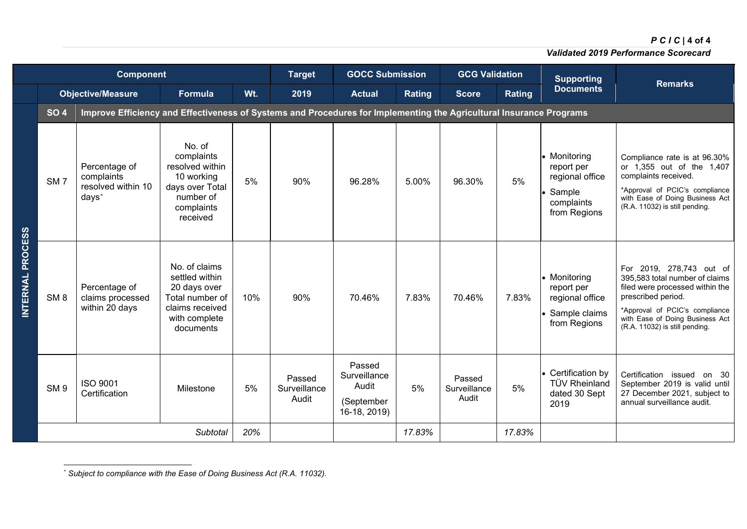## *PCIC* **| 4 of 4**

<span id="page-4-0"></span>*Validated 2019 Performance Scorecard*

|                         |                 | <b>Component</b>                                                                                                    | <b>Target</b>                                                                                                       | <b>GOCC Submission</b> |                                 |                                                               | <b>GCG Validation</b><br><b>Supporting</b> |                                 | <b>Remarks</b> |                                                                                       |                                                                                                                                                                                                                            |  |
|-------------------------|-----------------|---------------------------------------------------------------------------------------------------------------------|---------------------------------------------------------------------------------------------------------------------|------------------------|---------------------------------|---------------------------------------------------------------|--------------------------------------------|---------------------------------|----------------|---------------------------------------------------------------------------------------|----------------------------------------------------------------------------------------------------------------------------------------------------------------------------------------------------------------------------|--|
|                         |                 | <b>Objective/Measure</b>                                                                                            | Formula                                                                                                             | Wt.                    | 2019                            | <b>Actual</b>                                                 | <b>Rating</b>                              | <b>Score</b>                    | Rating         | <b>Documents</b>                                                                      |                                                                                                                                                                                                                            |  |
|                         | <b>SO 4</b>     | Improve Efficiency and Effectiveness of Systems and Procedures for Implementing the Agricultural Insurance Programs |                                                                                                                     |                        |                                 |                                                               |                                            |                                 |                |                                                                                       |                                                                                                                                                                                                                            |  |
|                         | SM <sub>7</sub> | Percentage of<br>complaints<br>resolved within 10<br>days <sup>*</sup>                                              | No. of<br>complaints<br>resolved within<br>10 working<br>days over Total<br>number of<br>complaints<br>received     | 5%                     | 90%                             | 96.28%                                                        | 5.00%                                      | 96.30%                          | 5%             | • Monitoring<br>report per<br>regional office<br>Sample<br>complaints<br>from Regions | Compliance rate is at 96.30%<br>or 1,355 out of the 1,407<br>complaints received.<br>*Approval of PCIC's compliance<br>with Ease of Doing Business Act<br>(R.A. 11032) is still pending.                                   |  |
| <b>INTERNAL PROCESS</b> | SM <sub>8</sub> | Percentage of<br>claims processed<br>within 20 days                                                                 | No. of claims<br>settled within<br>20 days over<br>Total number of<br>claims received<br>with complete<br>documents | 10%                    | 90%                             | 70.46%                                                        | 7.83%                                      | 70.46%                          | 7.83%          | • Monitoring<br>report per<br>regional office<br>Sample claims<br>from Regions        | For 2019, 278,743 out of<br>395,583 total number of claims<br>filed were processed within the<br>prescribed period.<br>*Approval of PCIC's compliance<br>with Ease of Doing Business Act<br>(R.A. 11032) is still pending. |  |
|                         | SM <sub>9</sub> | <b>ISO 9001</b><br>Certification                                                                                    | Milestone                                                                                                           | 5%                     | Passed<br>Surveillance<br>Audit | Passed<br>Surveillance<br>Audit<br>(September<br>16-18, 2019) | 5%                                         | Passed<br>Surveillance<br>Audit | 5%             | • Certification by<br><b>TÜV Rheinland</b><br>dated 30 Sept<br>2019                   | Certification issued on 30<br>September 2019 is valid until<br>27 December 2021, subject to<br>annual surveillance audit.                                                                                                  |  |
|                         |                 |                                                                                                                     | Subtotal                                                                                                            | 20%                    |                                 |                                                               | 17.83%                                     |                                 | 17.83%         |                                                                                       |                                                                                                                                                                                                                            |  |

<sup>\*</sup> *Subject to compliance with the Ease of Doing Business Act (R.A. 11032).*